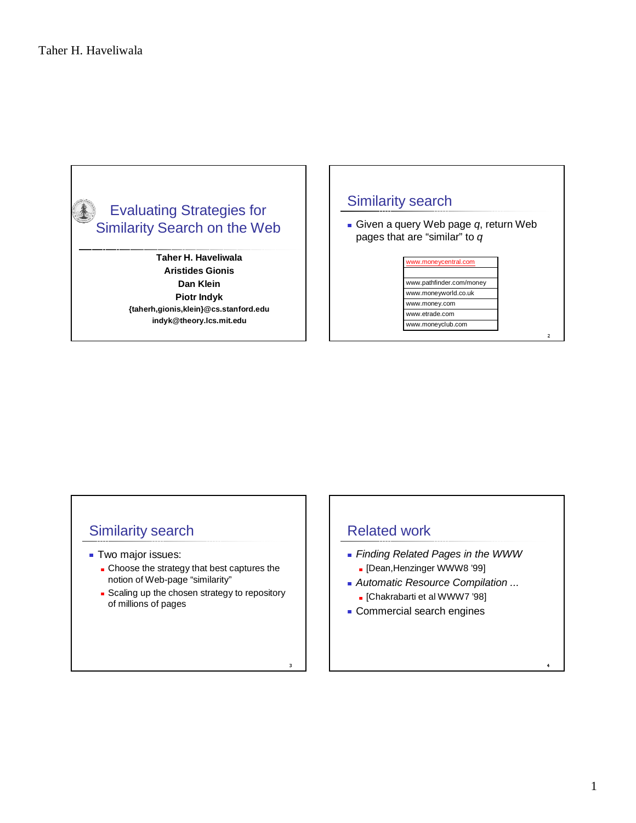

**Taher H. Haveliwala Aristides Gionis Dan Klein Piotr Indyk {taherh,gionis,klein}@cs.stanford.edu indyk@theory.lcs.mit.edu**

### Similarity search

Given a query Web page  $q$ , return Web pages that are "similar" to q

#### www.moneycentral.com

www.moneyclub.com www.etrade.com www.money.com www.moneyworld.co.uk www.pathfinder.com/money

. .

### Similarity search

- **Two major issues:** 
	- **Choose the strategy that best captures the** notion of Web-page "similarity"
	- Scaling up the chosen strategy to repository of millions of pages

### Related work

- **Finding Related Pages in the WWW** 
	- [Dean,Henzinger WWW8 '99]
- **Automatic Resource Compilation ...**
- [Chakrabarti et al WWW7 '98]
- **Commercial search engines**

. . .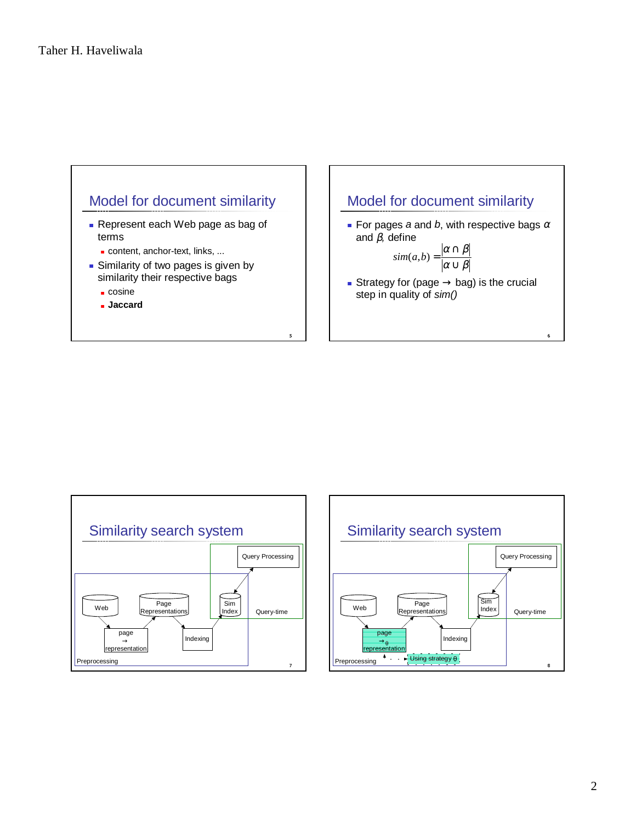





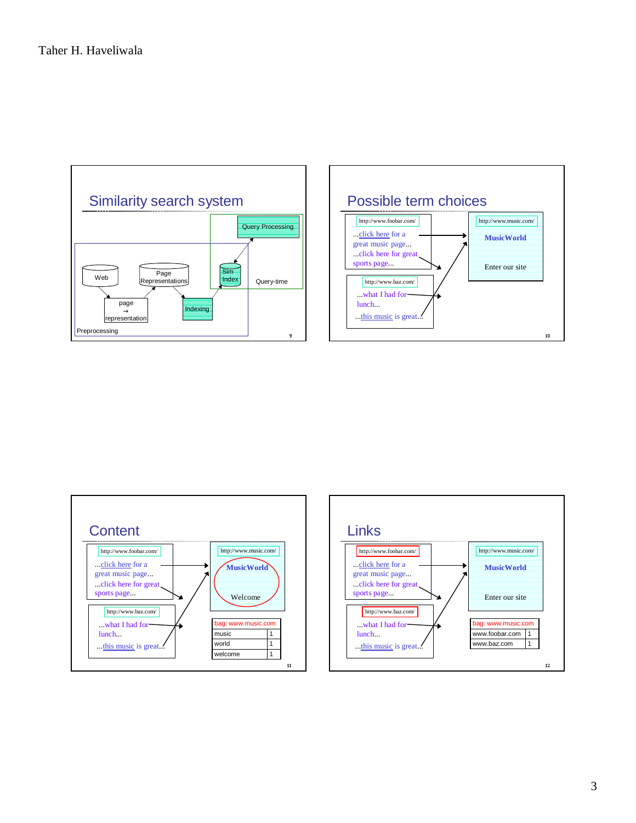



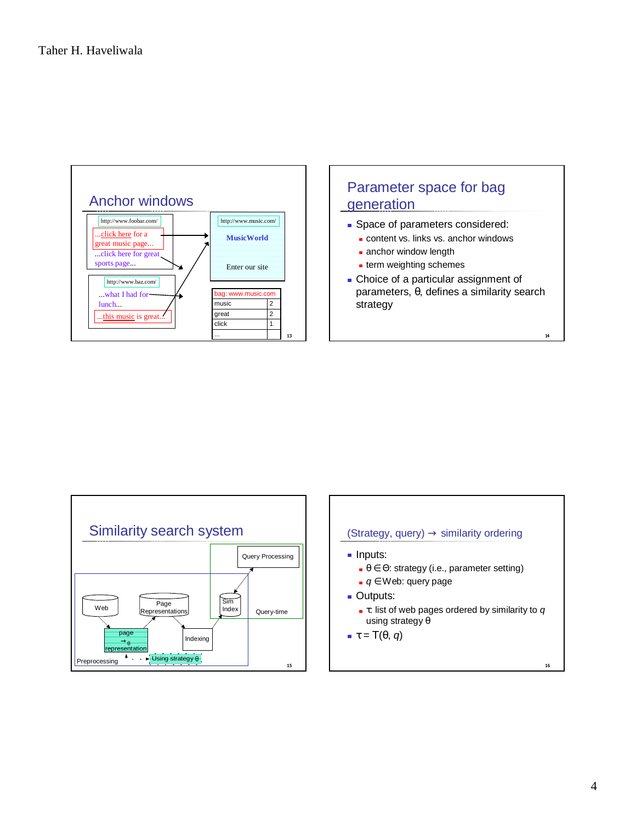





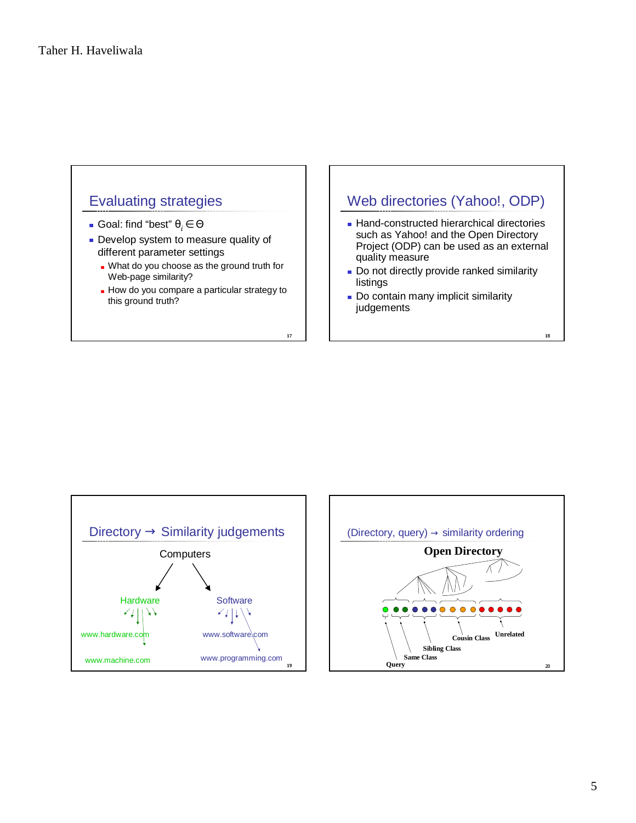### Evaluating strategies

- Goal: find "best" θ*<sup>i</sup>* ∈ Θ
- **Develop system to measure quality of** different parameter settings
	- **Nhat do you choose as the ground truth for** Web-page similarity?
	- How do you compare a particular strategy to this ground truth?

 $\overline{17}$ 

### Web directories (Yahoo!, ODP)

- Hand-constructed hierarchical directories such as Yahoo! and the Open Directory Project (ODP) can be used as an external quality measure
- Do not directly provide ranked similarity listings

18

**Do contain many implicit similarity** judgements



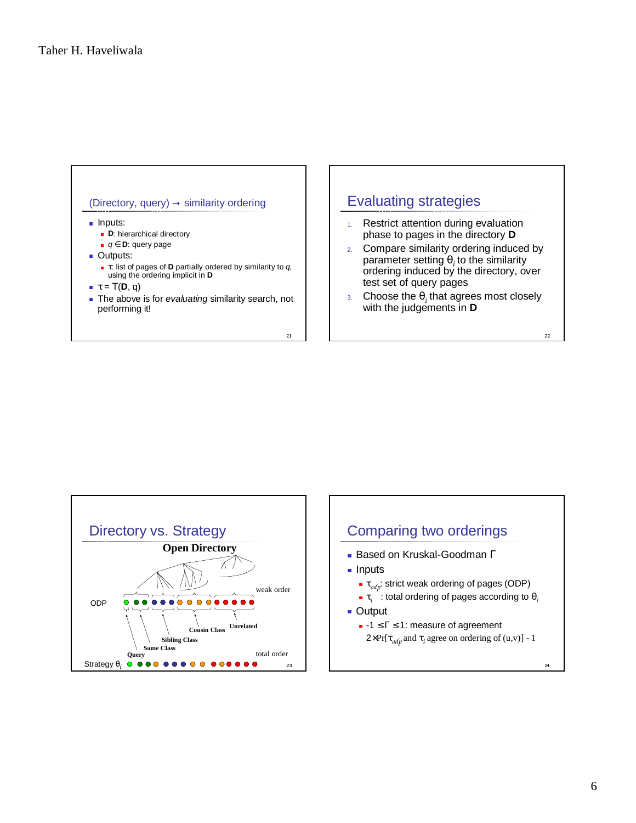

## Evaluating strategies

- 1. Restrict attention during evaluation phase to pages in the directory **D**
- 2. Compare similarity ordering induced by parameter setting θ*<sup>i</sup>* to the similarity ordering induced by the directory, over test set of query pages
- 3. Choose the  $\theta_i$  that agrees most closely with the judgements in **D**

 $_{22}$ 



# $24$ Comparing two orderings **Based on Kruskal-Goodman Γ** lnputs **■ τ<sub>οdp</sub>:** strict weak ordering of pages (ODP)  $■$  τ $_{i}$   $\,$   $\,$  : total ordering of pages according to  $\theta_{i}$ ■ Output  $-1 \leq \Gamma \leq 1$ : measure of agreement  $2\times Pr[\tau_{\text{odp}}$  and  $\tau_i$  agree on ordering of (u,v)] - 1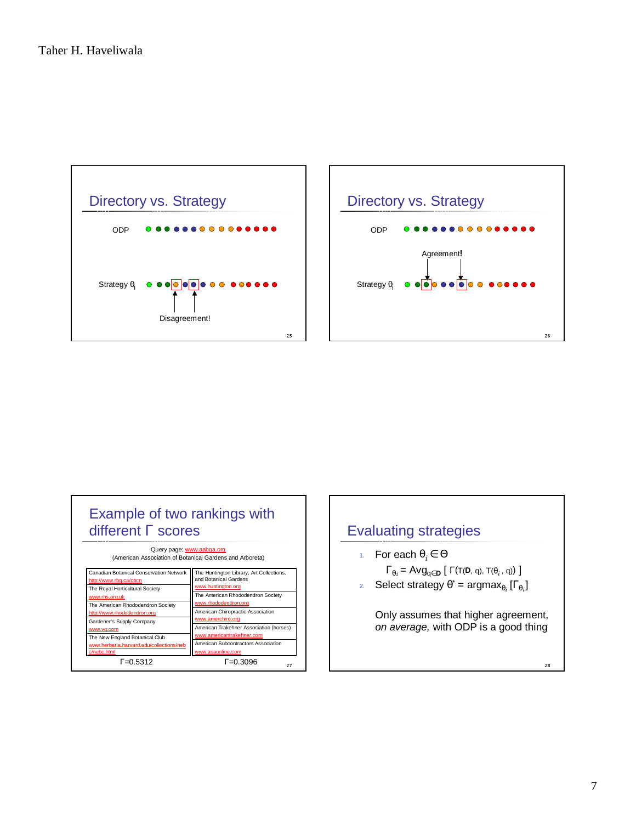





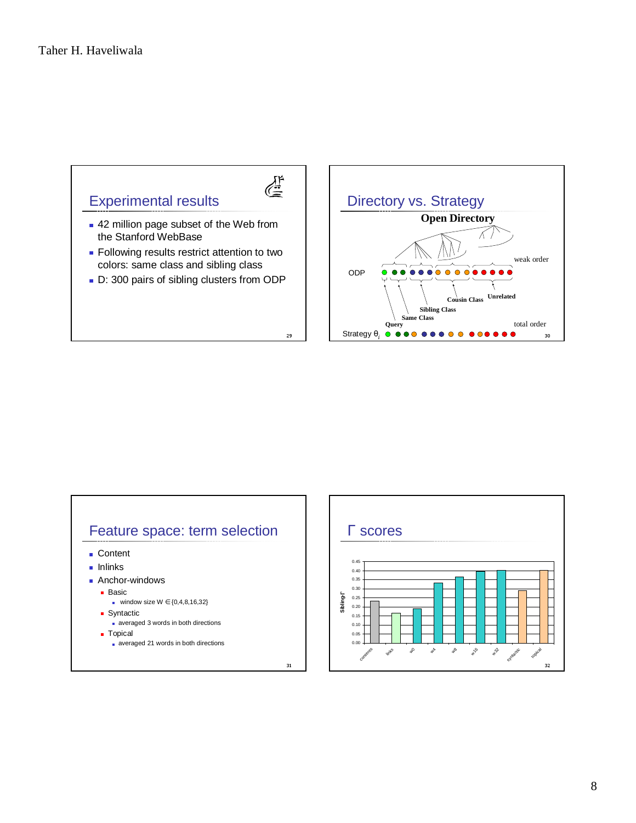



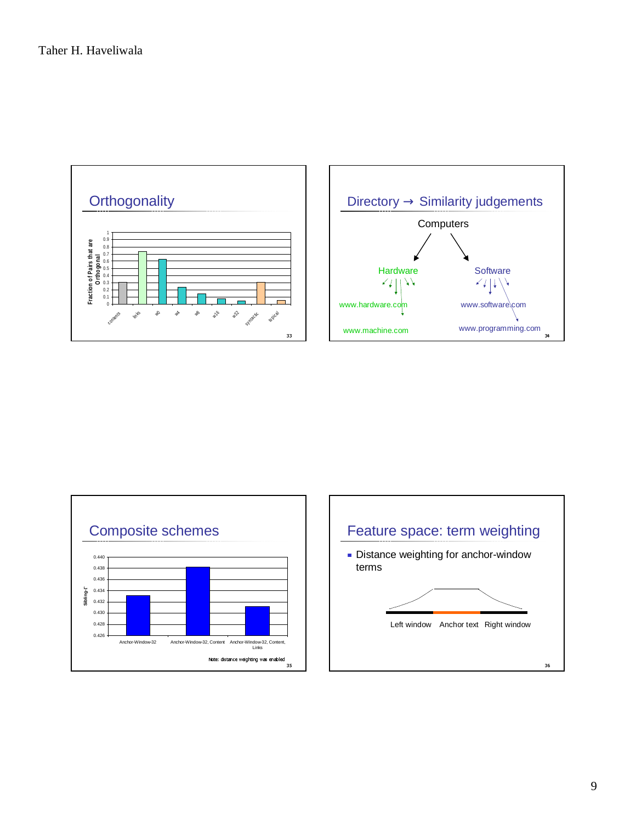



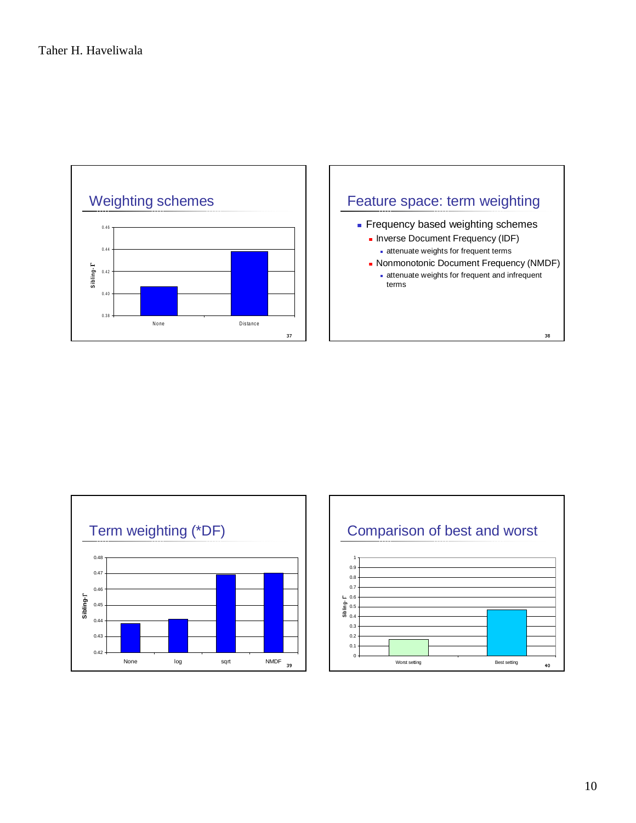



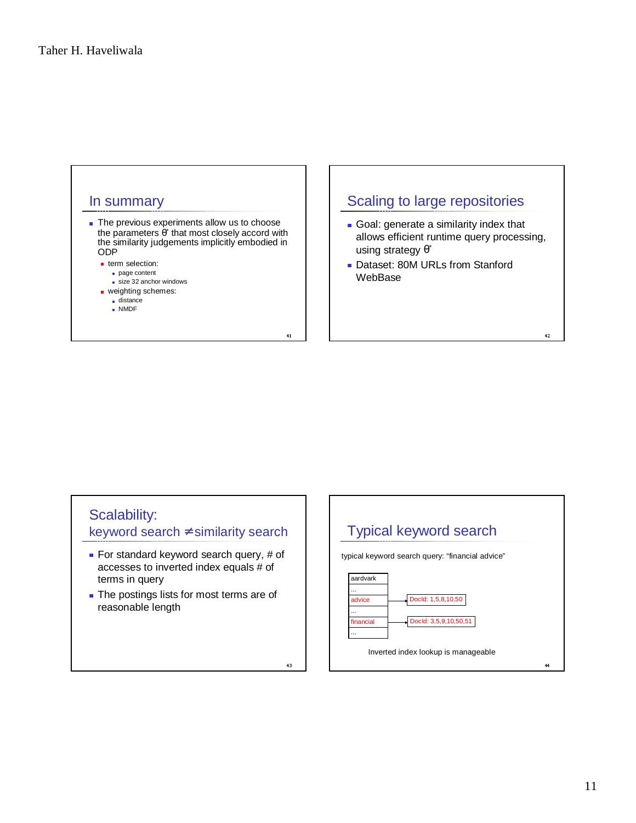

 $43$ 

## Scalability:

keyword search ≠ similarity search

- For standard keyword search query, # of accesses to inverted index equals # of terms in query
- The postings lists for most terms are of reasonable length



 $42$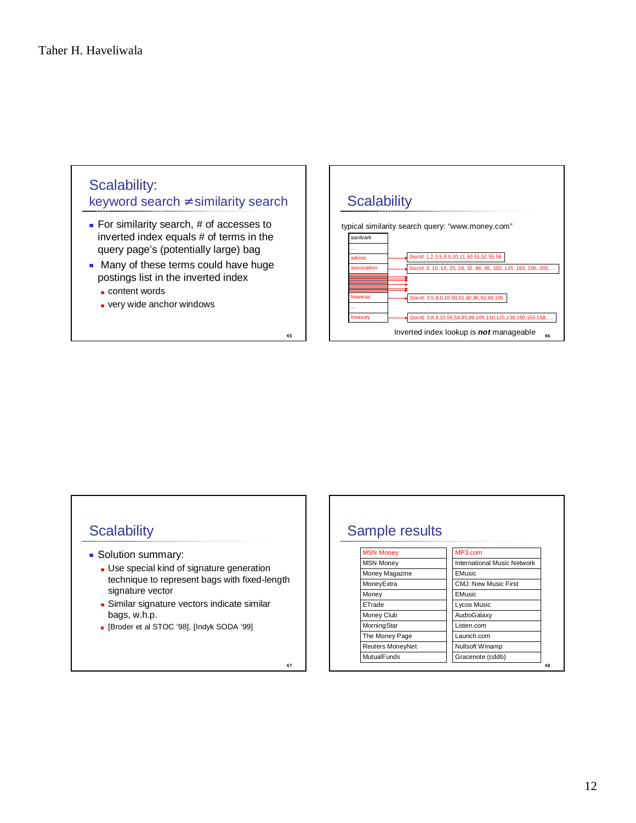# Scalability: keyword search ≠ similarity search

- For similarity search, # of accesses to inverted index equals # of terms in the query page's (potentially large) bag
- **Many of these terms could have huge** postings list in the inverted index

-

-

- content words
- very wide anchor windows



# **Scalability**

- **Solution summary:** 
	- **Use special kind of signature generation** technique to represent bags with fixed-length signature vector
	- **Similar signature vectors indicate similar** bags, w.h.p.
	- [Broder et al STOC '98], [Indyk SODA '99]

# Sample results

| MP3.com<br><b>MSN Money</b><br>International Music Network<br><b>MSN Money</b><br>Money Magazine<br>EMusic<br>CMJ: New Music First<br>MoneyExtra<br>EMusic<br>Money<br><b>Lycos Music</b><br>ETrade<br>AudioGalaxy<br>Money Club |
|----------------------------------------------------------------------------------------------------------------------------------------------------------------------------------------------------------------------------------|
|                                                                                                                                                                                                                                  |
|                                                                                                                                                                                                                                  |
|                                                                                                                                                                                                                                  |
|                                                                                                                                                                                                                                  |
|                                                                                                                                                                                                                                  |
|                                                                                                                                                                                                                                  |
|                                                                                                                                                                                                                                  |
| MorningStar<br>Listen.com                                                                                                                                                                                                        |
| Launch.com<br>The Money Page                                                                                                                                                                                                     |
| <b>Nullsoft Winamp</b><br>Reuters MoneyNet                                                                                                                                                                                       |
| <b>MutualFunds</b><br>Gracenote (cddb)                                                                                                                                                                                           |